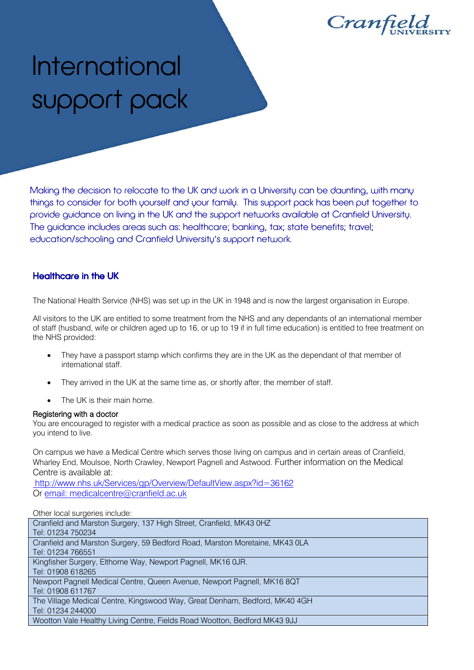Cranfield

# International support pack

Making the decision to relocate to the UK and work in a University can be daunting, with many things to consider for both yourself and your family. This support pack has been put together to provide guidance on living in the UK and the support networks available at Cranfield University. The guidance includes areas such as: healthcare; banking, tax; state benefits; travel; education/schooling and Cranfield University's support network.

## Healthcare in the UK

The National Health Service (NHS) was set up in the UK in 1948 and is now the largest organisation in Europe.

All visitors to the UK are entitled to some treatment from the NHS and any dependants of an international member of staff (husband, wife or children aged up to 16, or up to 19 if in full time education) is entitled to free treatment on the NHS provided:

- They have a passport stamp which confirms they are in the UK as the dependant of that member of international staff.
- They arrived in the UK at the same time as, or shortly after, the member of staff.
- The UK is their main home.

#### Registering with a doctor

You are encouraged to register with a medical practice as soon as possible and as close to the address at which you intend to live.

On campus we have a Medical Centre which serves those living on campus and in certain areas of Cranfield, Wharley End, Moulsoe, North Crawley, Newport Pagnell and Astwood. Further information on the Medical Centre is available at:

<http://www.nhs.uk/Services/gp/Overview/DefaultView.aspx?id=36162> Or [email:](mailto:medicalcentre@cranfield.ac.uk) medicalcentre@cranfield.ac.uk

Other local surgeries include:

| Cranfield and Marston Surgery, 137 High Street, Cranfield, MK43 0HZ         |
|-----------------------------------------------------------------------------|
| Tel: 01234 750234                                                           |
| Cranfield and Marston Surgery, 59 Bedford Road, Marston Moretaine, MK43 0LA |
| Tel: 01234 766551                                                           |
| Kingfisher Surgery, Elthorne Way, Newport Pagnell, MK16 0JR.                |
| Tel: 01908 618265                                                           |
| Newport Pagnell Medical Centre, Queen Avenue, Newport Pagnell, MK16 8QT     |
| Tel: 01908 611767                                                           |
| The Village Medical Centre, Kingswood Way, Great Denham, Bedford, MK40 4GH  |
| Tel: 01234 244000                                                           |
| Wootton Vale Healthy Living Centre, Fields Road Wootton, Bedford MK43 9JJ   |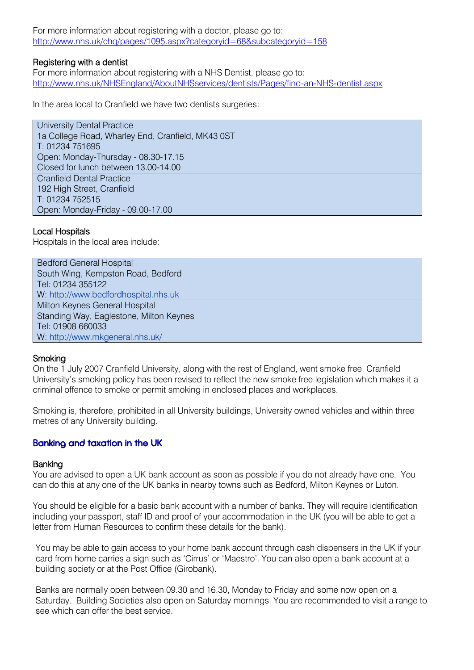For more information about registering with a doctor, please go to: <http://www.nhs.uk/chq/pages/1095.aspx?categoryid=68&subcategoryid=158>

#### Registering with a dentist

For more information about registering with a NHS Dentist, please go to: <http://www.nhs.uk/NHSEngland/AboutNHSservices/dentists/Pages/find-an-NHS-dentist.aspx>

In the area local to Cranfield we have two dentists surgeries:

University Dental Practice 1a College Road, Wharley End, Cranfield, MK43 0ST T: 01234 751695 Open: Monday-Thursday - 08.30-17.15 Closed for lunch between 13.00-14.00 Cranfield Dental Practice 192 High Street, Cranfield T: 01234 752515 Open: Monday-Friday - 09.00-17.00

## Local Hospitals

Hospitals in the local area include:

| <b>Bedford General Hospital</b>         |
|-----------------------------------------|
| South Wing, Kempston Road, Bedford      |
| Tel: 01234 355122                       |
| W: http://www.bedfordhospital.nhs.uk    |
| Milton Keynes General Hospital          |
| Standing Way, Eaglestone, Milton Keynes |
| Tel: 01908 660033                       |
| W: http://www.mkgeneral.nhs.uk/         |

#### **Smoking**

On the 1 July 2007 Cranfield University, along with the rest of England, went smoke free. Cranfield University's smoking policy has been revised to reflect the new smoke free legislation which makes it a criminal offence to smoke or permit smoking in enclosed places and workplaces.

Smoking is, therefore, prohibited in all University buildings, University owned vehicles and within three metres of any University building.

## Banking and taxation in the UK

#### **Banking**

You are advised to open a UK bank account as soon as possible if you do not already have one. You can do this at any one of the UK banks in nearby towns such as Bedford, Milton Keynes or Luton.

You should be eligible for a basic bank account with a number of banks. They will require identification including your passport, staff ID and proof of your accommodation in the UK (you will be able to get a letter from Human Resources to confirm these details for the bank).

You may be able to gain access to your home bank account through cash dispensers in the UK if your card from home carries a sign such as 'Cirrus' or 'Maestro'. You can also open a bank account at a building society or at the Post Office (Girobank).

Banks are normally open between 09.30 and 16.30, Monday to Friday and some now open on a Saturday. Building Societies also open on Saturday mornings. You are recommended to visit a range to see which can offer the best service.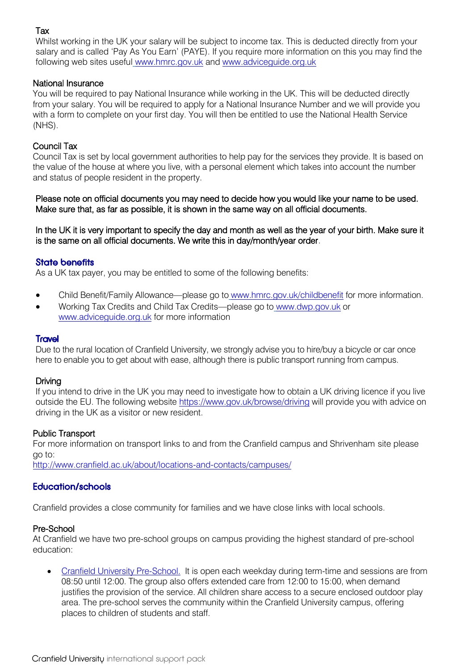## Tax

Whilst working in the UK your salary will be subject to income tax. This is deducted directly from your salary and is called 'Pay As You Earn' (PAYE). If you require more information on this you may find the following web sites useful [www.hmrc.gov.uk](http://www.hmrc.gov.uk/) and [www.adviceguide.org.uk](http://www.adviceguide.org.uk/)

## National Insurance

You will be required to pay National Insurance while working in the UK. This will be deducted directly from your salary. You will be required to apply for a National Insurance Number and we will provide you with a form to complete on your first day. You will then be entitled to use the National Health Service (NHS).

## Council Tax

Council Tax is set by local government authorities to help pay for the services they provide. It is based on the value of the house at where you live, with a personal element which takes into account the number and status of people resident in the property.

Please note on official documents you may need to decide how you would like your name to be used. Make sure that, as far as possible, it is shown in the same way on all official documents.

In the UK it is very important to specify the day and month as well as the year of your birth. Make sure it is the same on all official documents. We write this in day/month/year order.

## State benefits

As a UK tax payer, you may be entitled to some of the following benefits:

- Child Benefit/Family Allowance—please go to [www.hmrc.gov.uk/childbenefit](http://www.hmrc.gov.uk/childbenefit) for more information.
- Working Tax Credits and Child Tax Credits—please go to [www.dwp.gov.uk](http://www.dwp.gov.uk/) or [www.adviceguide.org.uk](http://www.adviceguide.org.uk/) for more information

#### **Travel**

Due to the rural location of Cranfield University, we strongly advise you to hire/buy a bicycle or car once here to enable you to get about with ease, although there is public transport running from campus.

#### Driving

If you intend to drive in the UK you may need to investigate how to obtain a UK driving licence if you live outside the EU. The following website https://www.gov.uk/browse/driving will provide you with advice on driving in the UK as a visitor or new resident.

#### Public Transport

For more information on transport links to and from the Cranfield campus and Shrivenham site please go to:

<http://www.cranfield.ac.uk/about/locations-and-contacts/campuses/>

## Education/schools

Cranfield provides a close community for families and we have close links with local schools.

#### Pre-School

At Cranfield we have two pre-school groups on campus providing the highest standard of pre-school education:

 [Cranfield University Pre-School.](http://www.netmums.com/northbeds/local/view/education/playgroups-pre-schools-and-nursery-schools/cranfield-university-pre-school) It is open each weekday during term-time and sessions are from 08:50 until 12:00. The group also offers extended care from 12:00 to 15:00, when demand justifies the provision of the service. All children share access to a secure enclosed outdoor play area. The pre-school serves the community within the Cranfield University campus, offering places to children of students and staff.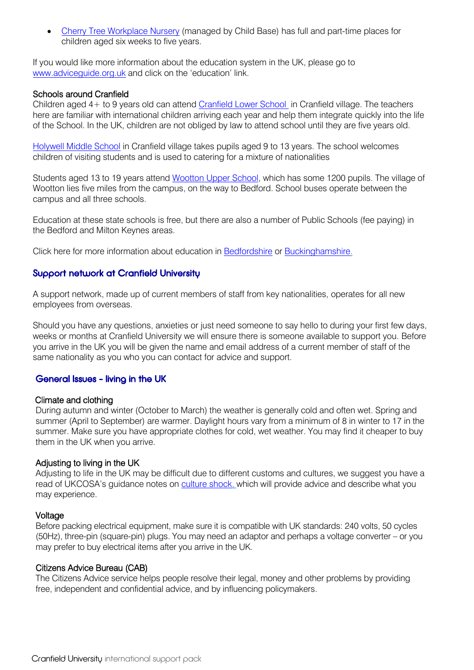[Cherry Tree Workplace Nursery](http://www.cylex-uk.co.uk/reviews/viewcompanywebsite.aspx?firmaName=cherry-tree-day-nursery&companyId=15805700) (managed by Child Base) has full and part-time places for children aged six weeks to five years.

If you would like more information about the education system in the UK, please go to [www.adviceguide.org.uk](http://www.adviceguide.org.uk/) and click on the 'education' link.

#### Schools around Cranfield

Children aged 4+ to 9 years old can attend [Cranfield Lower School](http://www.cranfieldchurchofenglandacademy.co.uk/) in Cranfield village. The teachers here are familiar with international children arriving each year and help them integrate quickly into the life of the School. In the UK, children are not obliged by law to attend school until they are five years old.

[Holywell Middle School](http://www.holywell.beds.sch.uk/) in Cranfield village takes pupils aged 9 to 13 years. The school welcomes children of visiting students and is used to catering for a mixture of nationalities

Students aged 13 to 19 years attend [Wootton Upper School,](http://homepage.wootton.beds.sch.uk/) which has some 1200 pupils. The village of Wootton lies five miles from the campus, on the way to Bedford. School buses operate between the campus and all three schools.

Education at these state schools is free, but there are also a number of Public Schools (fee paying) in the Bedford and Milton Keynes areas.

Click here for more information about education in [Bedfordshire](http://www.bedford.gov.uk/) or [Buckinghamshire.](http://www.buckscc.gov.uk/bcc/)

## Support network at Cranfield University

A support network, made up of current members of staff from key nationalities, operates for all new employees from overseas.

Should you have any questions, anxieties or just need someone to say hello to during your first few days, weeks or months at Cranfield University we will ensure there is someone available to support you. Before you arrive in the UK you will be given the name and email address of a current member of staff of the same nationality as you who you can contact for advice and support.

## General Issues - living in the UK

#### Climate and clothing

During autumn and winter (October to March) the weather is generally cold and often wet. Spring and summer (April to September) are warmer. Daylight hours vary from a minimum of 8 in winter to 17 in the summer. Make sure you have appropriate clothes for cold, wet weather. You may find it cheaper to buy them in the UK when you arrive.

#### Adjusting to living in the UK

Adjusting to life in the UK may be difficult due to different customs and cultures, we suggest you have a read of UKCOSA's guidance notes on [culture shock,](http://www.ukcisa.org.uk/search.aspx?s=1&q=culture+shock) which will provide advice and describe what you may experience.

#### Voltage

Before packing electrical equipment, make sure it is compatible with UK standards: 240 volts, 50 cycles (50Hz), three-pin (square-pin) plugs. You may need an adaptor and perhaps a voltage converter – or you may prefer to buy electrical items after you arrive in the UK.

#### Citizens Advice Bureau (CAB)

The Citizens Advice service helps people resolve their legal, money and other problems by providing free, independent and confidential advice, and by influencing policymakers.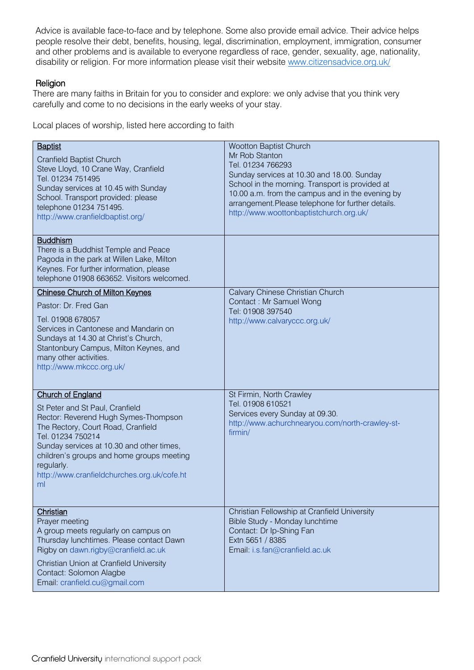Advice is available face-to-face and by telephone. Some also provide email advice. Their advice helps people resolve their debt, benefits, housing, legal, discrimination, employment, immigration, consumer and other problems and is available to everyone regardless of race, gender, sexuality, age, nationality, disability or religion. For more information please visit their website www.citizensadvice.org.uk/

## Religion

There are many faiths in Britain for you to consider and explore: we only advise that you think very carefully and come to no decisions in the early weeks of your stay.

Local places of worship, listed here according to faith

| <b>Baptist</b><br><b>Cranfield Baptist Church</b><br>Steve Lloyd, 10 Crane Way, Cranfield<br>Tel. 01234 751495<br>Sunday services at 10.45 with Sunday<br>School. Transport provided: please<br>telephone 01234 751495.<br>http://www.cranfieldbaptist.org/                                                                 | Wootton Baptist Church<br>Mr Rob Stanton<br>Tel. 01234 766293<br>Sunday services at 10.30 and 18.00. Sunday<br>School in the morning. Transport is provided at<br>10.00 a.m. from the campus and in the evening by<br>arrangement.Please telephone for further details.<br>http://www.woottonbaptistchurch.org.uk/ |
|-----------------------------------------------------------------------------------------------------------------------------------------------------------------------------------------------------------------------------------------------------------------------------------------------------------------------------|--------------------------------------------------------------------------------------------------------------------------------------------------------------------------------------------------------------------------------------------------------------------------------------------------------------------|
| <b>Buddhism</b><br>There is a Buddhist Temple and Peace<br>Pagoda in the park at Willen Lake, Milton<br>Keynes. For further information, please<br>telephone 01908 663652. Visitors welcomed.                                                                                                                               |                                                                                                                                                                                                                                                                                                                    |
| <b>Chinese Church of Milton Keynes</b><br>Pastor: Dr. Fred Gan<br>Tel. 01908 678057<br>Services in Cantonese and Mandarin on<br>Sundays at 14.30 at Christ's Church,<br>Stantonbury Campus, Milton Keynes, and<br>many other activities.<br>http://www.mkccc.org.uk/                                                        | Calvary Chinese Christian Church<br>Contact: Mr Samuel Wong<br>Tel: 01908 397540<br>http://www.calvaryccc.org.uk/                                                                                                                                                                                                  |
| <b>Church of England</b><br>St Peter and St Paul, Cranfield<br>Rector: Reverend Hugh Symes-Thompson<br>The Rectory, Court Road, Cranfield<br>Tel. 01234 750214<br>Sunday services at 10.30 and other times,<br>children's groups and home groups meeting<br>regularly.<br>http://www.cranfieldchurches.org.uk/cofe.ht<br>ml | St Firmin, North Crawley<br>Tel. 01908 610521<br>Services every Sunday at 09.30.<br>http://www.achurchnearyou.com/north-crawley-st-<br>firmin/                                                                                                                                                                     |
| Christian<br>Prayer meeting<br>A group meets regularly on campus on<br>Thursday lunchtimes. Please contact Dawn<br>Rigby on dawn.rigby@cranfield.ac.uk<br>Christian Union at Cranfield University<br>Contact: Solomon Alagbe<br>Email: cranfield.cu@gmail.com                                                               | Christian Fellowship at Cranfield University<br>Bible Study - Monday lunchtime<br>Contact: Dr Ip-Shing Fan<br>Extn 5651 / 8385<br>Email: i.s.fan@cranfield.ac.uk                                                                                                                                                   |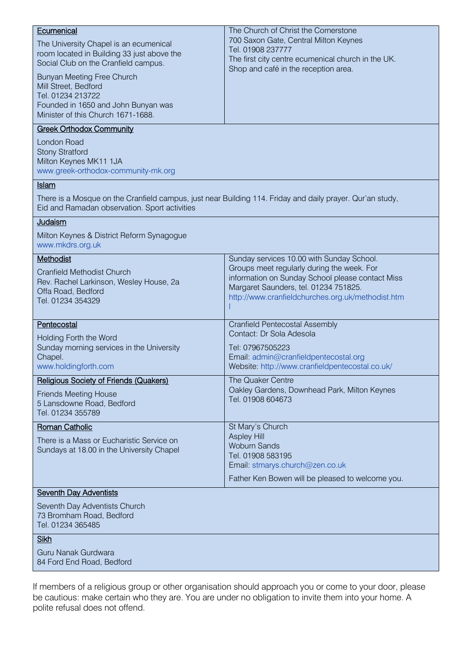| Ecumenical                                                                                                                                                 | The Church of Christ the Cornerstone                                                      |  |
|------------------------------------------------------------------------------------------------------------------------------------------------------------|-------------------------------------------------------------------------------------------|--|
| The University Chapel is an ecumenical                                                                                                                     | 700 Saxon Gate, Central Milton Keynes                                                     |  |
| room located in Building 33 just above the                                                                                                                 | Tel. 01908 237777                                                                         |  |
| Social Club on the Cranfield campus.                                                                                                                       | The first city centre ecumenical church in the UK.                                        |  |
| Bunyan Meeting Free Church                                                                                                                                 | Shop and café in the reception area.                                                      |  |
| Mill Street, Bedford                                                                                                                                       |                                                                                           |  |
| Tel. 01234 213722                                                                                                                                          |                                                                                           |  |
| Founded in 1650 and John Bunyan was                                                                                                                        |                                                                                           |  |
| Minister of this Church 1671-1688.                                                                                                                         |                                                                                           |  |
| <b>Greek Orthodox Community</b>                                                                                                                            |                                                                                           |  |
| <b>London Road</b>                                                                                                                                         |                                                                                           |  |
| <b>Stony Stratford</b>                                                                                                                                     |                                                                                           |  |
| Milton Keynes MK11 1JA<br>www.greek-orthodox-community-mk.org                                                                                              |                                                                                           |  |
| <b>Islam</b>                                                                                                                                               |                                                                                           |  |
|                                                                                                                                                            |                                                                                           |  |
| There is a Mosque on the Cranfield campus, just near Building 114. Friday and daily prayer. Qur'an study,<br>Eid and Ramadan observation. Sport activities |                                                                                           |  |
| Judaism                                                                                                                                                    |                                                                                           |  |
| Milton Keynes & District Reform Synagogue                                                                                                                  |                                                                                           |  |
| www.mkdrs.org.uk                                                                                                                                           |                                                                                           |  |
| Methodist                                                                                                                                                  | Sunday services 10.00 with Sunday School.                                                 |  |
| <b>Cranfield Methodist Church</b>                                                                                                                          | Groups meet regularly during the week. For                                                |  |
| Rev. Rachel Larkinson, Wesley House, 2a                                                                                                                    | information on Sunday School please contact Miss<br>Margaret Saunders, tel. 01234 751825. |  |
| Offa Road, Bedford                                                                                                                                         | http://www.cranfieldchurches.org.uk/methodist.htm                                         |  |
| Tel. 01234 354329                                                                                                                                          |                                                                                           |  |
| Pentecostal                                                                                                                                                | <b>Cranfield Pentecostal Assembly</b>                                                     |  |
| Holding Forth the Word                                                                                                                                     | Contact: Dr Sola Adesola                                                                  |  |
| Sunday morning services in the University                                                                                                                  | Tel: 07967505223                                                                          |  |
| Chapel.                                                                                                                                                    | Email: admin@cranfieldpentecostal.org                                                     |  |
| www.holdingforth.com                                                                                                                                       | Website: http://www.cranfieldpentecostal.co.uk/                                           |  |
| Religious Society of Friends (Quakers)                                                                                                                     | The Quaker Centre                                                                         |  |
| <b>Friends Meeting House</b>                                                                                                                               | Oakley Gardens, Downhead Park, Milton Keynes                                              |  |
| 5 Lansdowne Road, Bedford                                                                                                                                  | Tel. 01908 604673                                                                         |  |
| Tel. 01234 355789                                                                                                                                          |                                                                                           |  |
| <b>Roman Catholic</b>                                                                                                                                      | St Mary's Church                                                                          |  |
| There is a Mass or Eucharistic Service on                                                                                                                  | <b>Aspley Hill</b><br><b>Woburn Sands</b>                                                 |  |
| Sundays at 18.00 in the University Chapel                                                                                                                  | Tel. 01908 583195                                                                         |  |
|                                                                                                                                                            | Email: stmarys.church@zen.co.uk                                                           |  |
|                                                                                                                                                            | Father Ken Bowen will be pleased to welcome you.                                          |  |
| <b>Seventh Day Adventists</b>                                                                                                                              |                                                                                           |  |
| Seventh Day Adventists Church                                                                                                                              |                                                                                           |  |
| 73 Bromham Road, Bedford                                                                                                                                   |                                                                                           |  |
| Tel. 01234 365485                                                                                                                                          |                                                                                           |  |
| <b>Sikh</b>                                                                                                                                                |                                                                                           |  |
| Guru Nanak Gurdwara                                                                                                                                        |                                                                                           |  |
| 84 Ford End Road, Bedford                                                                                                                                  |                                                                                           |  |
|                                                                                                                                                            |                                                                                           |  |

If members of a religious group or other organisation should approach you or come to your door, please be cautious: make certain who they are. You are under no obligation to invite them into your home. A polite refusal does not offend.